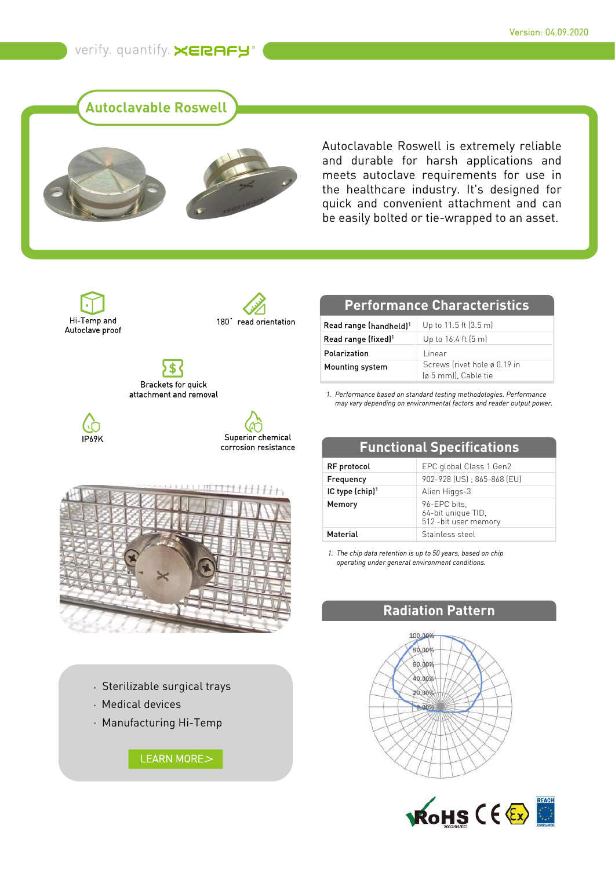verify. quantify. XERAFY®

**Autoclavable Roswell**



Autoclavable Roswell is extremely reliable and durable for harsh applications and meets autoclave requirements for use in the healthcare industry. It's designed for quick and convenient attachment and can be easily bolted or tie-wrapped to an asset.





S Brackets for quick attachment and removal



Superior chemical corrosion resistance **Functional Specifications**



- Sterilizable surgical trays
- Medical devices
- Manufacturing Hi-Temp

LEARN MORE>

## **Performance Characteristics**

| Read range (handheld) <sup>1</sup> | Up to 11.5 ft (3.5 m)                                |
|------------------------------------|------------------------------------------------------|
| Read range (fixed) <sup>1</sup>    | Up to $16.4$ ft $(5 \text{ m})$                      |
| Polarization                       | Linear                                               |
| Mounting system                    | Screws (rivet hole ø 0.19 in<br>(ø 5 mm)), Cable tie |

*Performance based on standard testing methodologies. Performance 1. may vary depending on environmental factors and reader output power.*

| <b>Functional Specifications</b> |                                                             |
|----------------------------------|-------------------------------------------------------------|
| RF protocol                      | EPC global Class 1 Gen2                                     |
| Frequency                        | 902-928 (US) ; 865-868 (EU)                                 |
| IC type (chip) <sup>1</sup>      | Alien Higgs-3                                               |
| Memory                           | 96-EPC bits,<br>64-bit unique TID,<br>512 - bit user memory |
| <b>Material</b>                  | Stainless steel                                             |

*The chip data retention is up to 50 years, based on chip 1. operating under general environment conditions.*

## **Radiation Pattern**